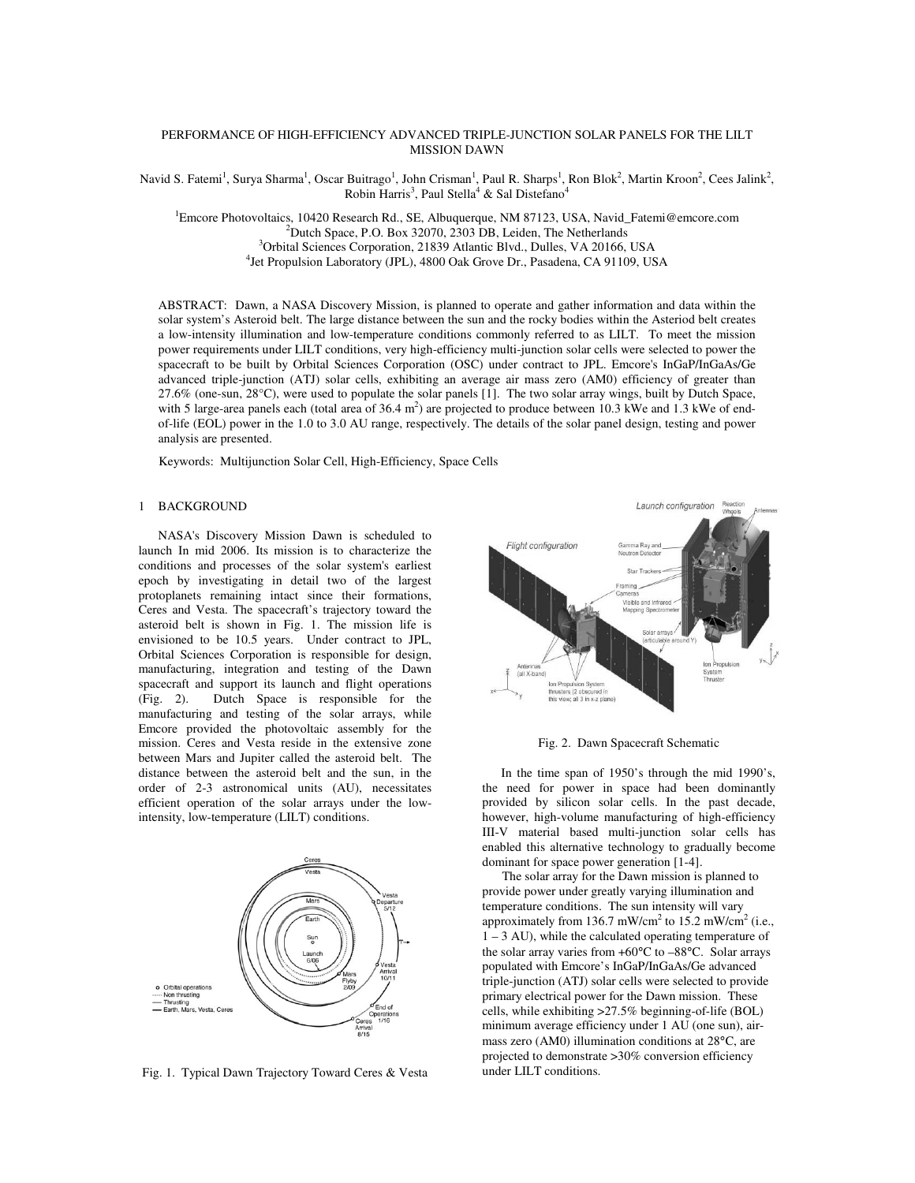## PERFORMANCE OF HIGH-EFFICIENCY ADVANCED TRIPLE-JUNCTION SOLAR PANELS FOR THE LILT MISSION DAWN

Navid S. Fatemi<sup>1</sup>, Surya Sharma<sup>1</sup>, Oscar Buitrago<sup>1</sup>, John Crisman<sup>1</sup>, Paul R. Sharps<sup>1</sup>, Ron Blok<sup>2</sup>, Martin Kroon<sup>2</sup>, Cees Jalink<sup>2</sup>, Robin Harris<sup>3</sup>, Paul Stella<sup>4</sup> & Sal Distefano<sup>4</sup>

<sup>1</sup>Emcore Photovoltaics, 10420 Research Rd., SE, Albuquerque, NM 87123, USA, Navid Fatemi@emcore.com  $2^2$ Dutch Space, P.O. Box 32070, 2303 DB, Leiden, The Netherlands <sup>3</sup>Orbital Sciences Corporation, 21839 Atlantic Blvd., Dulles, VA 20166, USA 4 Jet Propulsion Laboratory (JPL), 4800 Oak Grove Dr., Pasadena, CA 91109, USA

ABSTRACT: Dawn, a NASA Discovery Mission, is planned to operate and gather information and data within the solar system's Asteroid belt. The large distance between the sun and the rocky bodies within the Asteriod belt creates a low-intensity illumination and low-temperature conditions commonly referred to as LILT. To meet the mission power requirements under LILT conditions, very high-efficiency multi-junction solar cells were selected to power the spacecraft to be built by Orbital Sciences Corporation (OSC) under contract to JPL. Emcore's InGaP/InGaAs/Ge advanced triple-junction (ATJ) solar cells, exhibiting an average air mass zero (AM0) efficiency of greater than 27.6% (one-sun, 28°C), were used to populate the solar panels [1]. The two solar array wings, built by Dutch Space, with 5 large-area panels each (total area of  $36.4 \text{ m}^2$ ) are projected to produce between 10.3 kWe and 1.3 kWe of endof-life (EOL) power in the 1.0 to 3.0 AU range, respectively. The details of the solar panel design, testing and power analysis are presented.

Keywords: Multijunction Solar Cell, High-Efficiency, Space Cells

#### 1 BACKGROUND

NASA's Discovery Mission Dawn is scheduled to launch In mid 2006. Its mission is to characterize the conditions and processes of the solar system's earliest epoch by investigating in detail two of the largest protoplanets remaining intact since their formations, Ceres and Vesta. The spacecraft's trajectory toward the asteroid belt is shown in Fig. 1. The mission life is envisioned to be 10.5 years. Under contract to JPL, Orbital Sciences Corporation is responsible for design, manufacturing, integration and testing of the Dawn spacecraft and support its launch and flight operations (Fig. 2). Dutch Space is responsible for the manufacturing and testing of the solar arrays, while Emcore provided the photovoltaic assembly for the mission. Ceres and Vesta reside in the extensive zone between Mars and Jupiter called the asteroid belt. The distance between the asteroid belt and the sun, in the order of 2-3 astronomical units (AU), necessitates efficient operation of the solar arrays under the lowintensity, low-temperature (LILT) conditions.



Fig. 1. Typical Dawn Trajectory Toward Ceres & Vesta



Fig. 2. Dawn Spacecraft Schematic

In the time span of 1950's through the mid 1990's, the need for power in space had been dominantly provided by silicon solar cells. In the past decade, however, high-volume manufacturing of high-efficiency III-V material based multi-junction solar cells has enabled this alternative technology to gradually become dominant for space power generation [1-4].

The solar array for the Dawn mission is planned to provide power under greatly varying illumination and temperature conditions. The sun intensity will vary approximately from 136.7 mW/cm<sup>2</sup> to 15.2 mW/cm<sup>2</sup> (i.e., 1 – 3 AU), while the calculated operating temperature of the solar array varies from +60°C to –88°C. Solar arrays populated with Emcore's InGaP/InGaAs/Ge advanced triple-junction (ATJ) solar cells were selected to provide primary electrical power for the Dawn mission. These cells, while exhibiting >27.5% beginning-of-life (BOL) minimum average efficiency under 1 AU (one sun), airmass zero (AM0) illumination conditions at 28°C, are projected to demonstrate >30% conversion efficiency under LILT conditions.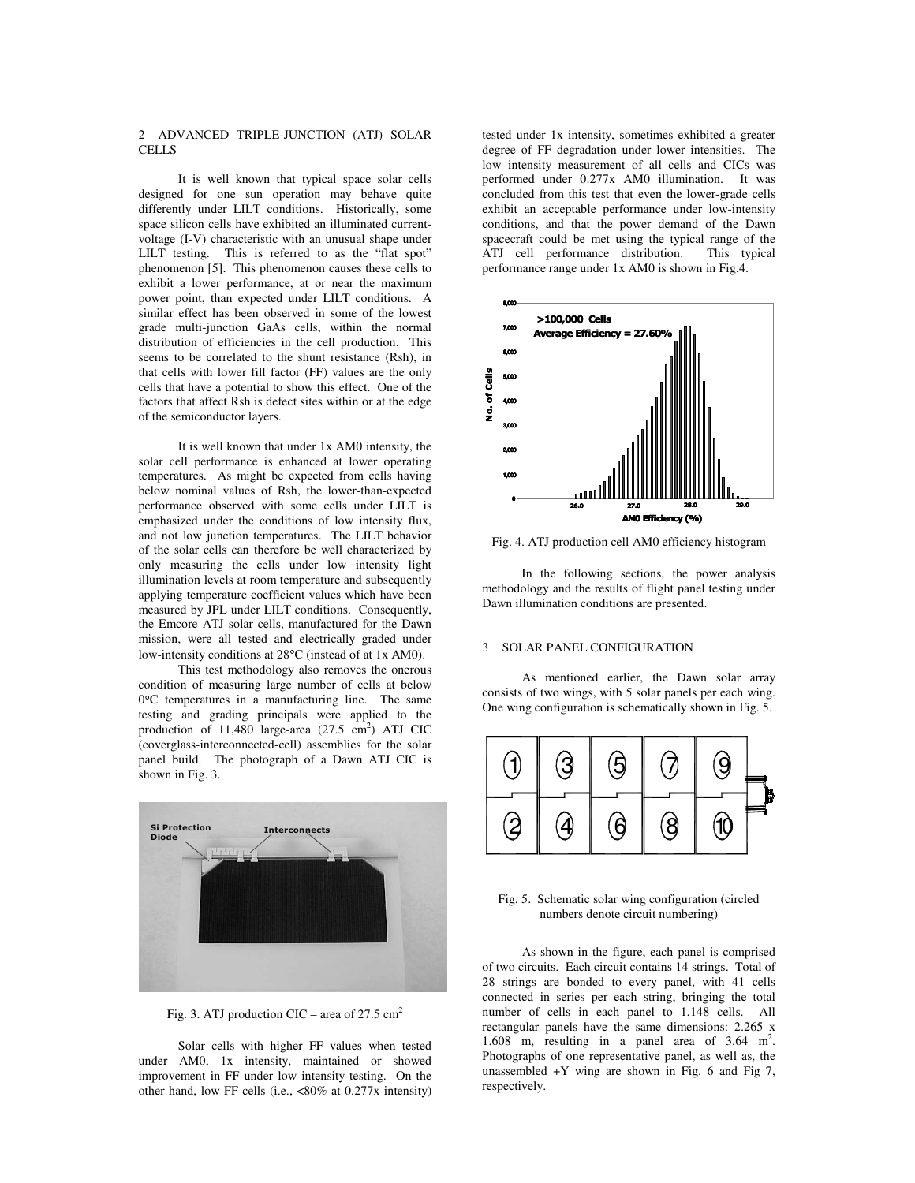### 2 ADVANCED TRIPLE-JUNCTION (ATJ) SOLAR CELLS

It is well known that typical space solar cells designed for one sun operation may behave quite differently under LILT conditions. Historically, some space silicon cells have exhibited an illuminated currentvoltage (I-V) characteristic with an unusual shape under LILT testing. This is referred to as the "flat spot" phenomenon [5]. This phenomenon causes these cells to exhibit a lower performance, at or near the maximum power point, than expected under LILT conditions. A similar effect has been observed in some of the lowest grade multi-junction GaAs cells, within the normal distribution of efficiencies in the cell production. This seems to be correlated to the shunt resistance (Rsh), in that cells with lower fill factor (FF) values are the only cells that have a potential to show this effect. One of the factors that affect Rsh is defect sites within or at the edge of the semiconductor layers.

It is well known that under 1x AM0 intensity, the solar cell performance is enhanced at lower operating temperatures. As might be expected from cells having below nominal values of Rsh, the lower-than-expected performance observed with some cells under LILT is emphasized under the conditions of low intensity flux, and not low junction temperatures. The LILT behavior of the solar cells can therefore be well characterized by only measuring the cells under low intensity light illumination levels at room temperature and subsequently applying temperature coefficient values which have been measured by JPL under LILT conditions. Consequently, the Emcore ATJ solar cells, manufactured for the Dawn mission, were all tested and electrically graded under low-intensity conditions at 28°C (instead of at 1x AM0).

This test methodology also removes the onerous condition of measuring large number of cells at below 0°C temperatures in a manufacturing line. The same testing and grading principals were applied to the production of 11,480 large-area (27.5 cm<sup>2</sup>) ATJ CIC (coverglass-interconnected-cell) assemblies for the solar panel build. The photograph of a Dawn ATJ CIC is shown in Fig. 3.



Fig. 3. ATJ production CIC – area of 27.5  $\text{cm}^2$ 

Solar cells with higher FF values when tested under AM0, 1x intensity, maintained or showed improvement in FF under low intensity testing. On the other hand, low FF cells (i.e., <80% at 0.277x intensity)

tested under 1x intensity, sometimes exhibited a greater degree of FF degradation under lower intensities. The low intensity measurement of all cells and CICs was performed under 0.277x AM0 illumination. It was concluded from this test that even the lower-grade cells exhibit an acceptable performance under low-intensity conditions, and that the power demand of the Dawn spacecraft could be met using the typical range of the ATJ cell performance distribution. This typical ATJ cell performance distribution. performance range under 1x AM0 is shown in Fig.4.



Fig. 4. ATJ production cell AM0 efficiency histogram

In the following sections, the power analysis methodology and the results of flight panel testing under Dawn illumination conditions are presented.

## 3 SOLAR PANEL CONFIGURATION

As mentioned earlier, the Dawn solar array consists of two wings, with 5 solar panels per each wing. One wing configuration is schematically shown in Fig. 5.



Fig. 5. Schematic solar wing configuration (circled numbers denote circuit numbering)

As shown in the figure, each panel is comprised of two circuits. Each circuit contains 14 strings. Total of 28 strings are bonded to every panel, with 41 cells connected in series per each string, bringing the total number of cells in each panel to 1,148 cells. All rectangular panels have the same dimensions: 2.265 x 1.608 m, resulting in a panel area of 3.64 m 2 . Photographs of one representative panel, as well as, the unassembled  $+Y$  wing are shown in Fig. 6 and Fig 7, respectively.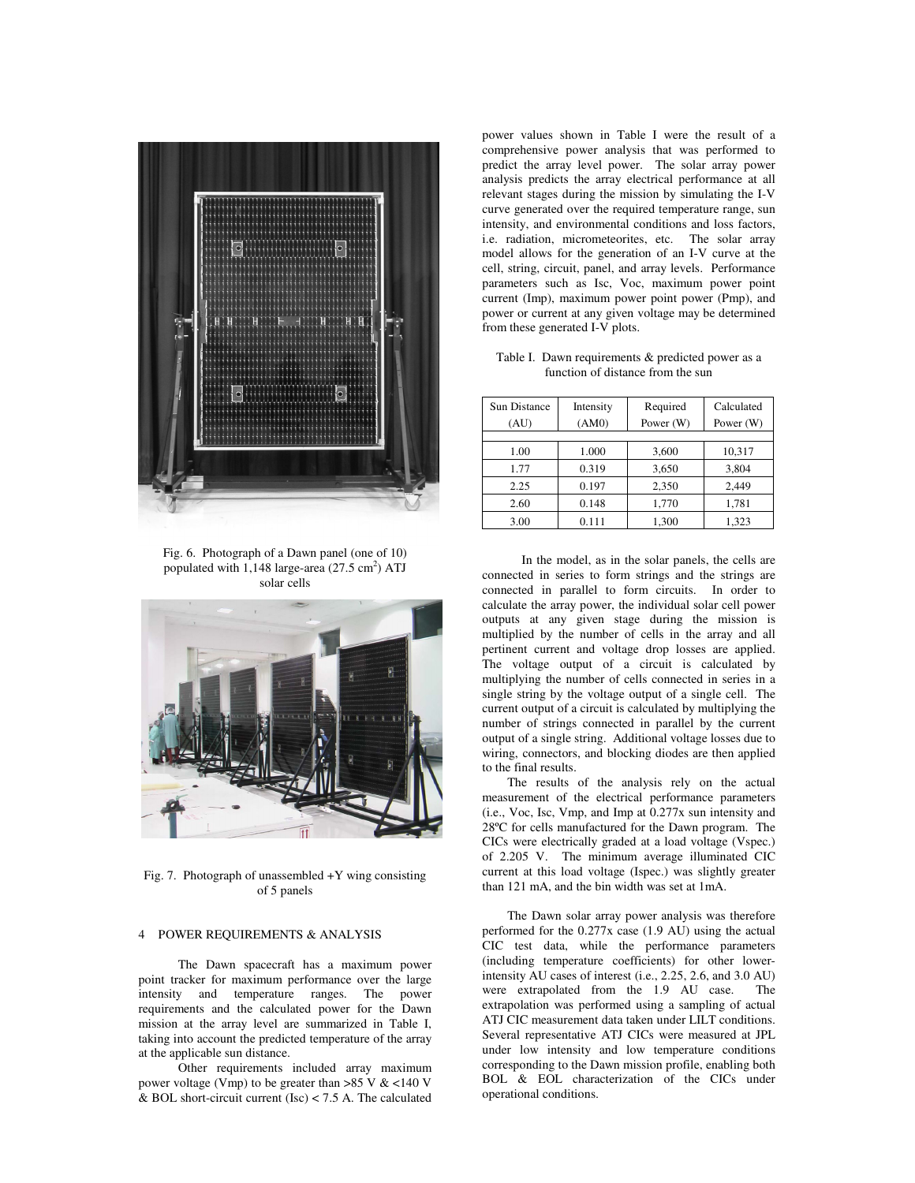

Fig. 6. Photograph of a Dawn panel (one of 10) populated with 1,148 large-area (27.5 cm<sup>2</sup>) ATJ solar cells



Fig. 7. Photograph of unassembled  $+Y$  wing consisting of 5 panels

### 4 POWER REQUIREMENTS & ANALYSIS

The Dawn spacecraft has a maximum power point tracker for maximum performance over the large intensity and temperature ranges. The power requirements and the calculated power for the Dawn mission at the array level are summarized in Table I, taking into account the predicted temperature of the array at the applicable sun distance.

Other requirements included array maximum power voltage (Vmp) to be greater than >85 V & <140 V & BOL short-circuit current (Isc) < 7.5 A. The calculated

power values shown in Table I were the result of a comprehensive power analysis that was performed to predict the array level power. The solar array power analysis predicts the array electrical performance at all relevant stages during the mission by simulating the I-V curve generated over the required temperature range, sun intensity, and environmental conditions and loss factors, i.e. radiation, micrometeorites, etc. The solar array model allows for the generation of an I-V curve at the cell, string, circuit, panel, and array levels. Performance parameters such as Isc, Voc, maximum power point current (Imp), maximum power point power (Pmp), and power or current at any given voltage may be determined from these generated I-V plots.

| Table I. Dawn requirements & predicted power as a |
|---------------------------------------------------|
| function of distance from the sun                 |

| <b>Sun Distance</b> | Intensity | Required  | Calculated |
|---------------------|-----------|-----------|------------|
| (AU)                | (AM0)     | Power (W) | Power (W)  |
|                     |           |           |            |
| 1.00                | 1.000     | 3,600     | 10,317     |
| 1.77                | 0.319     | 3,650     | 3,804      |
| 2.25                | 0.197     | 2,350     | 2,449      |
| 2.60                | 0.148     | 1,770     | 1,781      |
| 3.00                | 0.111     | 1,300     | 1,323      |

In the model, as in the solar panels, the cells are connected in series to form strings and the strings are connected in parallel to form circuits. In order to calculate the array power, the individual solar cell power outputs at any given stage during the mission is multiplied by the number of cells in the array and all pertinent current and voltage drop losses are applied. The voltage output of a circuit is calculated by multiplying the number of cells connected in series in a single string by the voltage output of a single cell. The current output of a circuit is calculated by multiplying the number of strings connected in parallel by the current output of a single string. Additional voltage losses due to wiring, connectors, and blocking diodes are then applied to the final results.

The results of the analysis rely on the actual measurement of the electrical performance parameters (i.e., Voc, Isc, Vmp, and Imp at 0.277x sun intensity and 28ºC for cells manufactured for the Dawn program. The CICs were electrically graded at a load voltage (Vspec.) of 2.205 V. The minimum average illuminated CIC current at this load voltage (Ispec.) was slightly greater than 121 mA, and the bin width was set at 1mA.

The Dawn solar array power analysis was therefore performed for the 0.277x case (1.9 AU) using the actual CIC test data, while the performance parameters (including temperature coefficients) for other lowerintensity AU cases of interest (i.e., 2.25, 2.6, and 3.0 AU) were extrapolated from the 1.9 AU case. The extrapolation was performed using a sampling of actual ATJ CIC measurement data taken under LILT conditions. Several representative ATJ CICs were measured at JPL under low intensity and low temperature conditions corresponding to the Dawn mission profile, enabling both BOL & EOL characterization of the CICs under operational conditions.